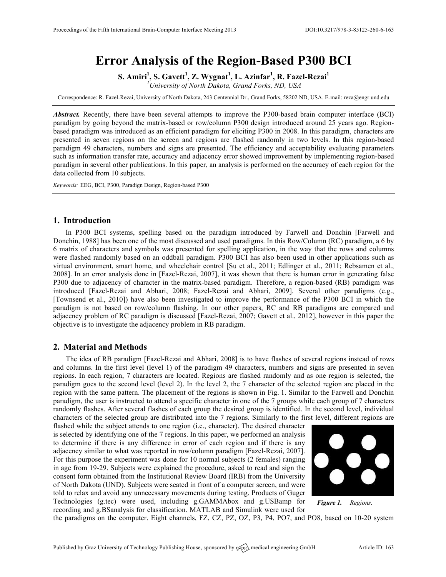# **Error Analysis of the Region-Based P300 BCI**

**S. Amiri<sup>1</sup> , S. Gavett<sup>1</sup> , Z. Wygnat<sup>1</sup> , L. Azinfar<sup>1</sup> , R. Fazel-Rezai<sup>1</sup>**

*1 University of North Dakota, Grand Forks, ND, USA*

Correspondence: R. Fazel-Rezai, University of North Dakota, 243 Centennial Dr., Grand Forks, 58202 ND, USA. E-mail: reza@engr.und.edu

*Abstract.* Recently, there have been several attempts to improve the P300-based brain computer interface (BCI) paradigm by going beyond the matrix-based or row/column P300 design introduced around 25 years ago. Regionbased paradigm was introduced as an efficient paradigm for eliciting P300 in 2008. In this paradigm, characters are presented in seven regions on the screen and regions are flashed randomly in two levels. In this region-based paradigm 49 characters, numbers and signs are presented. The efficiency and acceptability evaluating parameters such as information transfer rate, accuracy and adjacency error showed improvement by implementing region-based paradigm in several other publications. In this paper, an analysis is performed on the accuracy of each region for the data collected from 10 subjects.

*Keywords:* EEG, BCI, P300, Paradign Design, Region-based P300

## **1. Introduction**

In P300 BCI systems, spelling based on the paradigm introduced by Farwell and Donchin [Farwell and Donchin, 1988] has been one of the most discussed and used paradigms. In this Row/Column (RC) paradigm, a 6 by 6 matrix of characters and symbols was presented for spelling application, in the way that the rows and columns were flashed randomly based on an oddball paradigm. P300 BCI has also been used in other applications such as virtual environment, smart home, and wheelchair control [Su et al., 2011; Edlinger et al., 2011; Rebsamen et al., 2008]. In an error analysis done in [Fazel-Rezai, 2007], it was shown that there is human error in generating false P300 due to adjacency of character in the matrix-based paradigm. Therefore, a region-based (RB) paradigm was introduced [Fazel-Rezai and Abhari, 2008; Fazel-Rezai and Abhari, 2009]. Several other paradigms (e.g., [Townsend et al., 2010]) have also been investigated to improve the performance of the P300 BCI in which the paradigm is not based on row/column flashing. In our other papers, RC and RB paradigms are compared and adjacency problem of RC paradigm is discussed [Fazel-Rezai, 2007; Gavett et al., 2012], however in this paper the objective is to investigate the adjacency problem in RB paradigm.

### **2. Material and Methods**

The idea of RB paradigm [Fazel-Rezai and Abhari, 2008] is to have flashes of several regions instead of rows and columns. In the first level (level 1) of the paradigm 49 characters, numbers and signs are presented in seven regions. In each region, 7 characters are located. Regions are flashed randomly and as one region is selected, the paradigm goes to the second level (level 2). In the level 2, the 7 character of the selected region are placed in the region with the same pattern. The placement of the regions is shown in Fig. 1. Similar to the Farwell and Donchin paradigm, the user is instructed to attend a specific character in one of the 7 groups while each group of 7 characters randomly flashes. After several flashes of each group the desired group is identified. In the second level, individual characters of the selected group are distributed into the 7 regions. Similarly to the first level, different regions are

flashed while the subject attends to one region (i.e., character). The desired character is selected by identifying one of the 7 regions. In this paper, we performed an analysis to determine if there is any difference in error of each region and if there is any adjacency similar to what was reported in row/column paradigm [Fazel-Rezai, 2007]. For this purpose the experiment was done for 10 normal subjects (2 females) ranging in age from 19-29. Subjects were explained the procedure, asked to read and sign the consent form obtained from the Institutional Review Board (IRB) from the University of North Dakota (UND). Subjects were seated in front of a computer screen, and were told to relax and avoid any unnecessary movements during testing. Products of Guger Technologies (g.tec) were used, including g.GAMMAbox and g.USBamp for recording and g.BSanalysis for classification. MATLAB and Simulink were used for



*Figure 1. Regions.*

the paradigms on the computer. Eight channels, FZ, CZ, PZ, OZ, P3, P4, PO7, and PO8, based on 10-20 system